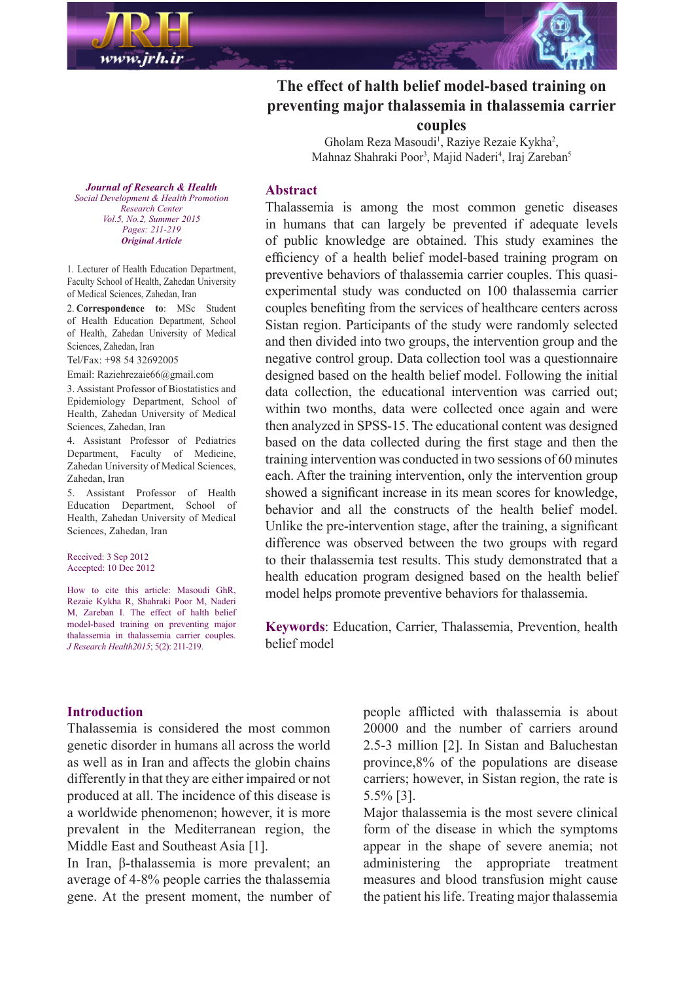

# The effect of halth belief model-based training on preventing major thalassemia in thalassemia carrier **couples**

Gholam Reza Masoudi<sup>1</sup>, Raziye Rezaie Kykha<sup>2</sup>, Mahnaz Shahraki Poor<sup>3</sup>, Majid Naderi<sup>4</sup>, Iraj Zareban<sup>5</sup>

*Journal of Research & Health Promotion Health & Development Social Center Research Vol.5, No.2, Summer 2015 211-219 :Pages Article Original*

1. Lecturer of Health Education Department, Faculty School of Health, Zahedan University of Medical Sciences, Zahedan, Iran

2. Correspondence to: MSc Student of Health Education Department, School of Health, Zahedan University of Medical Sciences, Zahedan, Iran

Tel/Fax: +98 54 32692005

Email: Raziehrezaie66@gmail.com

3. Assistant Professor of Biostatistics and Epidemiology Department, School of Health, Zahedan University of Medical Sciences, Zahedan, Iran

4. Assistant Professor of Pediatrics Department, Faculty of Medicine, Zahedan University of Medical Sciences, Zahedan, Iran

5. Assistant Professor of Health Education Department, School of Health, Zahedan University of Medical Sciences, Zahedan, Iran

Received: 3 Sep 2012 Accepted: 10 Dec 2012

How to cite this article: Masoudi GhR Rezaie Kykha R, Shahraki Poor M, Naderi M, Zareban I. The effect of halth belief model-based training on preventing major thalassemia in thalassemia carrier couples. J Research Health 2015; 5(2): 211-219.

#### **Abstract**

Thalassemia is among the most common genetic diseases in humans that can largely be prevented if adequate levels of public knowledge are obtained. This study examines the efficiency of a health belief model-based training program on experimental study was conducted on 100 thalassemia carrier preventive behaviors of thalassemia carrier couples. This quasicouples benefiting from the services of healthcare centers across Sistan region. Participants of the study were randomly selected and then divided into two groups, the intervention group and the negative control group. Data collection tool was a questionnaire designed based on the health belief model. Following the initial data collection, the educational intervention was carried out: within two months, data were collected once again and were then analyzed in SPSS-15. The educational content was designed based on the data collected during the first stage and then the training intervention was conducted in two sessions of  $60$  minutes each. After the training intervention, only the intervention group showed a significant increase in its mean scores for knowledge, behavior and all the constructs of the health belief model. Unlike the pre-intervention stage, after the training, a significant difference was observed between the two groups with regard to their thalassemia test results. This study demonstrated that a health education program designed based on the health belief model helps promote preventive behaviors for thalassemia.

Keywords: Education, Carrier, Thalassemia, Prevention, health belief model

#### **Introduction**

Thalassemia is considered the most common genetic disorder in humans all across the world as well as in Iran and affects the globin chains differently in that they are either impaired or not produced at all. The incidence of this disease is a worldwide phenomenon; however, it is more prevalent in the Mediterranean region, the Middle East and Southeast Asia [1].

In Iran, β-thalassemia is more prevalent; an average of 4-8% people carries the thalassemia gene. At the present moment, the number of people afflicted with thalassemia is about 20000 and the number of carriers around 2.5-3 million [2]. In Sistan and Baluchestan province,  $8\%$  of the populations are disease carriers; however, in Sistan region, the rate is  $5.5\%$  [3].

Major thalassemia is the most severe clinical form of the disease in which the symptoms appear in the shape of severe anemia; not administering the appropriate treatment measures and blood transfusion might cause the patient his life. Treating major thalassemia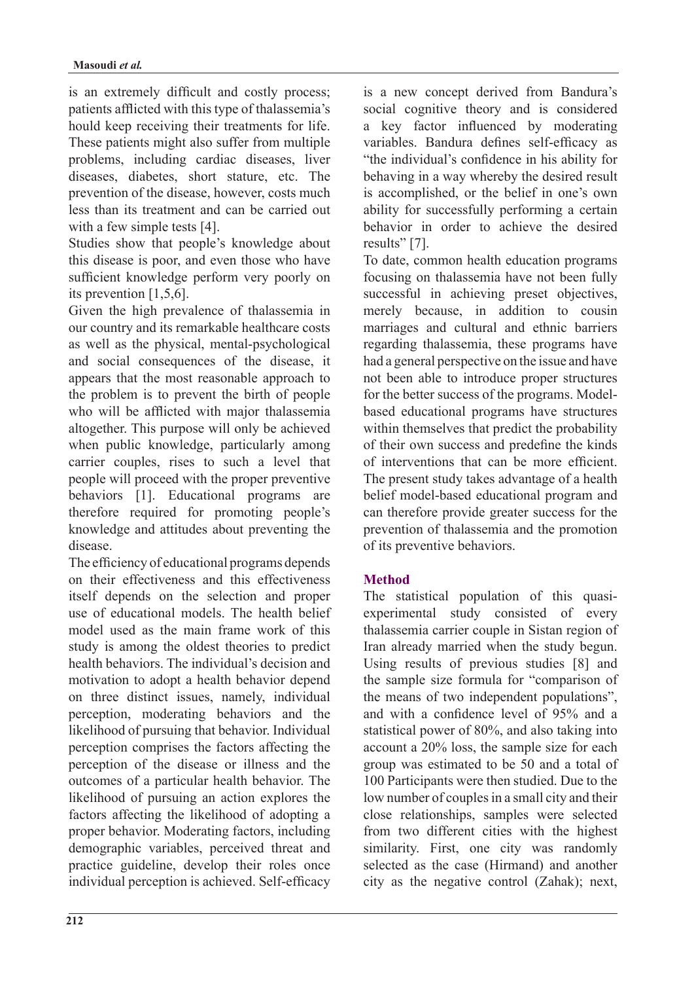is an extremely difficult and costly process; patients afflicted with this type of thalassemia's hould keep receiving their treatments for life. These patients might also suffer from multiple problems, including cardiac diseases, liver diseases, diabetes, short stature, etc. The prevention of the disease, however, costs much less than its treatment and can be carried out with a few simple tests  $[4]$ .

Studies show that people's knowledge about this disease is poor, and even those who have sufficient knowledge perform very poorly on its prevention  $[1,5,6]$ .

Given the high prevalence of thalassemia in our country and its remarkable healthcare costs as well as the physical, mental-psychological and social consequences of the disease, it appears that the most reasonable approach to the problem is to prevent the birth of people who will be afflicted with major thalassemia altogether. This purpose will only be achieved when public knowledge, particularly among carrier couples, rises to such a level that people will proceed with the proper preventive behaviors [1]. Educational programs are therefore required for promoting people's knowledge and attitudes about preventing the .disease

The efficiency of educational programs depends on their effectiveness and this effectiveness itself depends on the selection and proper use of educational models. The health belief model used as the main frame work of this study is among the oldest theories to predict health behaviors. The individual's decision and motivation to adopt a health behavior depend on three distinct issues, namely, individual perception, moderating behaviors and the likelihood of pursuing that behavior. Individual perception comprises the factors affecting the perception of the disease or illness and the outcomes of a particular health behavior. The likelihood of pursuing an action explores the factors affecting the likelihood of adopting a proper behavior. Moderating factors, including demographic variables, perceived threat and practice guideline, develop their roles once individual perception is achieved. Self-efficacy

**212**

is a new concept derived from Bandura's social cognitive theory and is considered a key factor influenced by moderating variables. Bandura defines self-efficacy as "the individual's confidence in his ability for behaving in a way whereby the desired result is accomplished, or the belief in one's own ability for successfully performing a certain behavior in order to achieve the desired results" [7].

To date, common health education programs focusing on thalassemia have not been fully successful in achieving preset objectives, merely because, in addition to cousin marriages and cultural and ethnic barriers regarding thalassemia, these programs have had a general perspective on the issue and have not been able to introduce proper structures based educational programs have structures for the better success of the programs. Modelwithin themselves that predict the probability of their own success and predefine the kinds of interventions that can be more efficient. The present study takes advantage of a health belief model-based educational program and can therefore provide greater success for the prevention of thalassemia and the promotion of its preventive behaviors.

### **Method**

experimental study consisted of every The statistical population of this quasithalassemia carrier couple in Sistan region of Iran already married when the study begun. Using results of previous studies [8] and the sample size formula for "comparison of the means of two independent populations". and with a confidence level of 95% and a statistical power of 80%, and also taking into account a  $20\%$  loss, the sample size for each group was estimated to be 50 and a total of 100 Participants were then studied. Due to the low number of couples in a small city and their close relationships, samples were selected from two different cities with the highest similarity. First, one city was randomly selected as the case (Hirmand) and another city as the negative control  $(Zahak)$ ; next,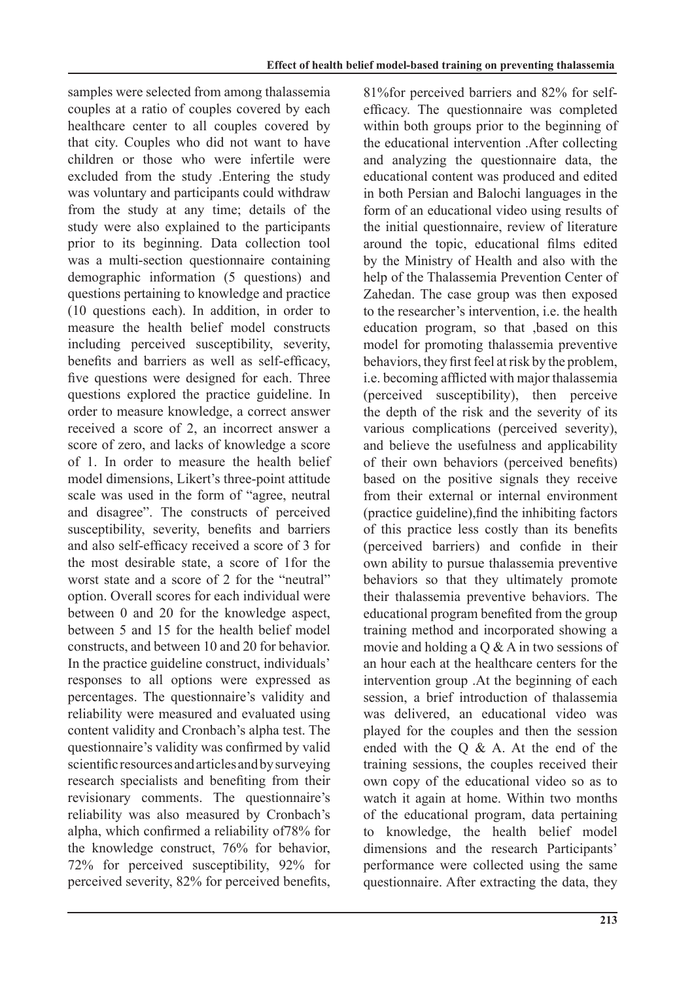samples were selected from among thalassemia couples at a ratio of couples covered by each healthcare center to all couples covered by that city. Couples who did not want to have children or those who were infertile were excluded from the study . Entering the study was voluntary and participants could withdraw from the study at any time; details of the study were also explained to the participants prior to its beginning. Data collection tool was a multi-section questionnaire containing demographic information (5 questions) and questions pertaining to knowledge and practice  $(10$  questions each). In addition, in order to measure the health belief model constructs including perceived susceptibility, severity, benefits and barriers as well as self-efficacy, five questions were designed for each. Three questions explored the practice guideline. In order to measure knowledge, a correct answer received a score of 2, an incorrect answer a score of zero, and lacks of knowledge a score of 1. In order to measure the health belief model dimensions, Likert's three-point attitude scale was used in the form of "agree, neutral and disagree". The constructs of perceived susceptibility, severity, benefits and barriers and also self-efficacy received a score of 3 for the most desirable state, a score of 1 for the worst state and a score of 2 for the "neutral" option. Overall scores for each individual were between  $0$  and  $20$  for the knowledge aspect. between 5 and 15 for the health belief model constructs, and between 10 and 20 for behavior. In the practice guideline construct, individuals' responses to all options were expressed as percentages. The questionnaire's validity and reliability were measured and evaluated using content validity and Cronbach's alpha test. The questionnaire's validity was confirmed by valid scientific resources and articles and by surveying research specialists and benefiting from their revisionary comments. The questionnaire's reliability was also measured by Cronbach's alpha, which confirmed a reliability of 78% for the knowledge construct,  $76%$  for behavior, 72% for perceived susceptibility,  $92\%$  for perceived severity, 82% for perceived benefits, efficacy. The questionnaire was completed 81% for perceived barriers and 82% for selfwithin both groups prior to the beginning of the educational intervention . After collecting and analyzing the questionnaire data, the educational content was produced and edited in both Persian and Balochi languages in the form of an educational video using results of the initial questionnaire, review of literature around the topic, educational films edited by the Ministry of Health and also with the help of the Thalassemia Prevention Center of Zahedan. The case group was then exposed to the researcher's intervention, i.e. the health education program, so that based on this model for promoting thalassemia preventive behaviors, they first feel at risk by the problem, i.e. becoming afflicted with major thalassemia  $(perceived)$  susceptibility), then perceive the depth of the risk and the severity of its various complications (perceived severity). and believe the usefulness and applicability of their own behaviors (perceived benefits) based on the positive signals they receive from their external or internal environment  $practive$  guideline), find the inhibiting factors of this practice less costly than its benefits  $(perceived\ barriers)$  and confide in their own ability to pursue thalassemia preventive behaviors so that they ultimately promote their thalassemia preventive behaviors. The educational program benefited from the group training method and incorporated showing a movie and holding a  $\overline{O}$  & A in two sessions of an hour each at the healthcare centers for the intervention group . At the beginning of each. session, a brief introduction of thalassemia was delivered, an educational video was played for the couples and then the session ended with the  $Q \& A$ . At the end of the training sessions, the couples received their own copy of the educational video so as to watch it again at home. Within two months of the educational program, data pertaining to knowledge, the health belief model dimensions and the research Participants' performance were collected using the same questionnaire. After extracting the data, they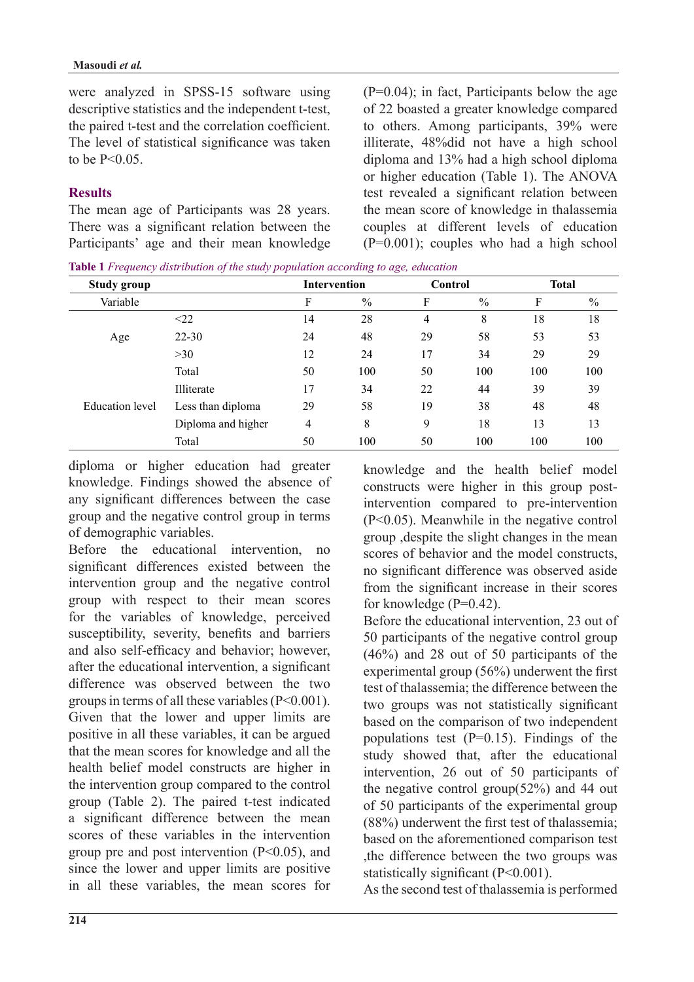were analyzed in SPSS-15 software using descriptive statistics and the independent t-test, the paired t-test and the correlation coefficient. The level of statistical significance was taken to be  $P < 0.05$ .

## **Results**

The mean age of Participants was 28 years. There was a significant relation between the Participants' age and their mean knowledge  $(P=0.04)$ ; in fact, Participants below the age of 22 boasted a greater knowledge compared to others. Among participants, 39% were illiterate, 48% did not have a high school diploma and  $13%$  had a high school diploma or higher education (Table 1). The ANOVA test revealed a significant relation between the mean score of knowledge in thalassemia couples at different levels of education  $(P=0.001)$ ; couples who had a high school

Table 1 Frequency distribution of the study population according to age, education

| <b>Study group</b>     |                    | <b>Intervention</b> |               | Control |               | <b>Total</b> |               |
|------------------------|--------------------|---------------------|---------------|---------|---------------|--------------|---------------|
| Variable               |                    | F                   | $\frac{0}{0}$ | F       | $\frac{0}{0}$ | F            | $\frac{0}{0}$ |
|                        | $\leq$ 22          | 14                  | 28            | 4       | 8             | 18           | 18            |
| Age                    | $22 - 30$          | 24                  | 48            | 29      | 58            | 53           | 53            |
|                        | >30                | 12                  | 24            | 17      | 34            | 29           | 29            |
|                        | Total              | 50                  | 100           | 50      | 100           | 100          | 100           |
| <b>Education</b> level | Illiterate         | 17                  | 34            | 22      | 44            | 39           | 39            |
|                        | Less than diploma  | 29                  | 58            | 19      | 38            | 48           | 48            |
|                        | Diploma and higher | 4                   | 8             | 9       | 18            | 13           | 13            |
|                        | Total              | 50                  | 100           | 50      | 100           | 100          | 100           |

diploma or higher education had greater knowledge. Findings showed the absence of any significant differences between the case group and the negative control group in terms of demographic variables.

Before the educational intervention, no significant differences existed between the intervention group and the negative control group with respect to their mean scores for the variables of knowledge, perceived susceptibility, severity, benefits and barriers and also self-efficacy and behavior; however, after the educational intervention, a significant difference was observed between the two groups in terms of all these variables  $(P< 0.001)$ . Given that the lower and upper limits are positive in all these variables, it can be argued that the mean scores for knowledge and all the health belief model constructs are higher in the intervention group compared to the control group (Table 2). The paired t-test indicated a significant difference between the mean scores of these variables in the intervention group pre and post intervention  $(P<0.05)$ , and since the lower and upper limits are positive in all these variables, the mean scores for knowledge and the health belief model intervention compared to pre-intervention constructs were higher in this group post- $(P<0.05)$ . Meanwhile in the negative control group despite the slight changes in the mean scores of behavior and the model constructs no significant difference was observed aside from the significant increase in their scores for knowledge  $(P=0.42)$ .

Before the educational intervention, 23 out of 50 participants of the negative control group  $(46\%)$  and 28 out of 50 participants of the experimental group  $(56%)$  underwent the first test of thalassemia: the difference between the two groups was not statistically significant based on the comparison of two independent populations test  $(P=0.15)$ . Findings of the study showed that, after the educational intervention,  $26$  out of  $50$  participants of the negative control group( $52\%$ ) and 44 out of 50 participants of the experimental group  $(88%)$  underwent the first test of thalassemia; based on the aforementioned comparison test the difference between the two groups was statistically significant  $(P<0.001)$ .

As the second test of thalassemia is performed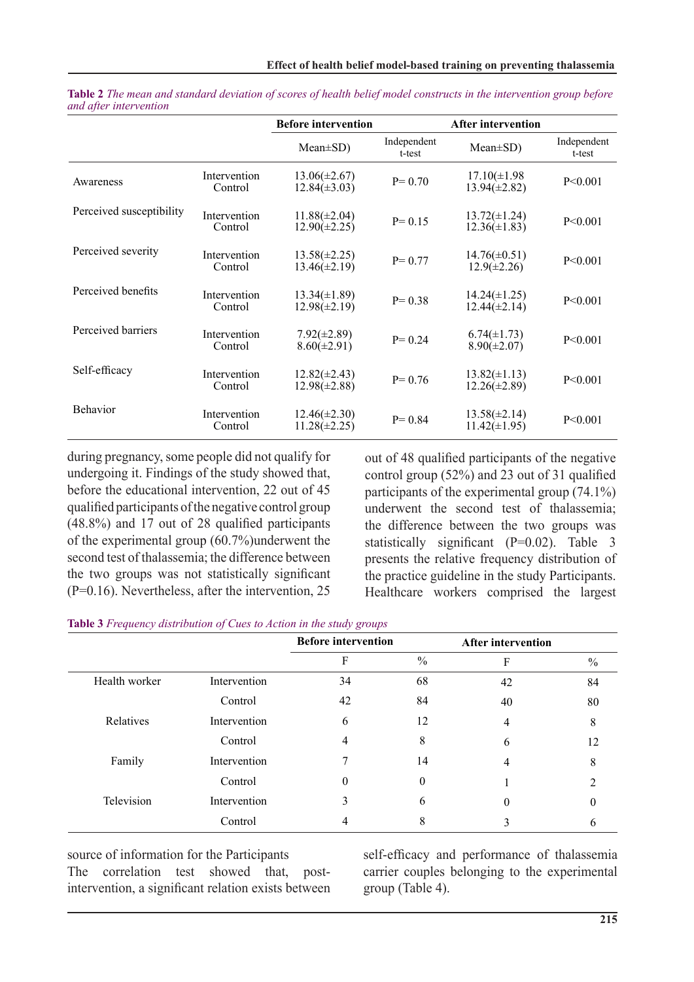|                          |                         | <b>Before intervention</b>             |                       | <b>After intervention</b>              |                       |
|--------------------------|-------------------------|----------------------------------------|-----------------------|----------------------------------------|-----------------------|
|                          |                         | $Mean \pm SD$ )                        | Independent<br>t-test | $Mean \pm SD$ )                        | Independent<br>t-test |
| Awareness                | Intervention<br>Control | $13.06(\pm2.67)$<br>$12.84(\pm 3.03)$  | $P = 0.70$            | $17.10(\pm 1.98)$<br>$13.94(\pm 2.82)$ | P < 0.001             |
| Perceived susceptibility | Intervention<br>Control | $11.88(\pm 2.04)$<br>$12.90(\pm 2.25)$ | $P = 0.15$            | $13.72(\pm 1.24)$<br>$12.36(\pm 1.83)$ | P < 0.001             |
| Perceived severity       | Intervention<br>Control | $13.58(\pm 2.25)$<br>$13.46(\pm 2.19)$ | $P = 0.77$            | $14.76(\pm 0.51)$<br>$12.9(\pm 2.26)$  | P < 0.001             |
| Perceived benefits       | Intervention<br>Control | $13.34(\pm 1.89)$<br>$12.98(\pm 2.19)$ | $P = 0.38$            | $14.24(\pm 1.25)$<br>$12.44(\pm 2.14)$ | P < 0.001             |
| Perceived barriers       | Intervention<br>Control | $7.92(\pm2.89)$<br>$8.60(\pm2.91)$     | $P = 0.24$            | $6.74(\pm 1.73)$<br>$8.90(\pm2.07)$    | P < 0.001             |
| Self-efficacy            | Intervention<br>Control | $12.82(\pm 2.43)$<br>$12.98(\pm 2.88)$ | $P = 0.76$            | $13.82(\pm 1.13)$<br>$12.26(\pm 2.89)$ | P < 0.001             |
| <b>Behavior</b>          | Intervention<br>Control | $12.46(\pm 2.30)$<br>$11.28(\pm 2.25)$ | $P = 0.84$            | $13.58(\pm 2.14)$<br>$11.42(\pm 1.95)$ | P < 0.001             |

*Table 2 The mean and standard deviation of scores of health belief model constructs in the intervention group before intervention after and*

during pregnancy, some people did not qualify for undergoing it. Findings of the study showed that, before the educational intervention, 22 out of 45 qualified participants of the negative control group  $(48.8\%)$  and 17 out of 28 qualified participants of the experimental group  $(60.7\%)$  underwent the second test of thalassemia; the difference between the two groups was not statistically significant  $(P=0.16)$ . Nevertheless, after the intervention, 25

out of 48 qualified participants of the negative control group  $(52\%)$  and 23 out of 31 qualified participants of the experimental group  $(74.1\%)$ underwent the second test of thalassemia; the difference between the two groups was statistically significant  $(P=0.02)$ . Table 3 presents the relative frequency distribution of the practice guideline in the study Participants. Healthcare workers comprised the largest

|  |  | Table 3 Frequency distribution of Cues to Action in the study groups |  |  |  |  |  |
|--|--|----------------------------------------------------------------------|--|--|--|--|--|
|--|--|----------------------------------------------------------------------|--|--|--|--|--|

|               |              | <b>Before intervention</b> |               | <b>After intervention</b> |      |
|---------------|--------------|----------------------------|---------------|---------------------------|------|
|               |              | F                          | $\frac{0}{0}$ | F                         | $\%$ |
| Health worker | Intervention | 34                         | 68            | 42                        | 84   |
|               | Control      | 42                         | 84            | 40                        | 80   |
| Relatives     | Intervention | 6                          | 12            | 4                         | 8    |
|               | Control      |                            | 8             | 6                         | 12   |
| Family        | Intervention |                            | 14            | 4                         | 8    |
|               | Control      | 0                          | 0             |                           |      |
| Television    | Intervention | 3                          | 6             | $\theta$                  |      |
|               | Control      |                            | 8             |                           |      |

source of information for the Participants The correlation test showed that, post-<br>intervention, a significant relation exists between The correlation test showed

self-efficacy and performance of thalassemia carrier couples belonging to the experimental group (Table 4).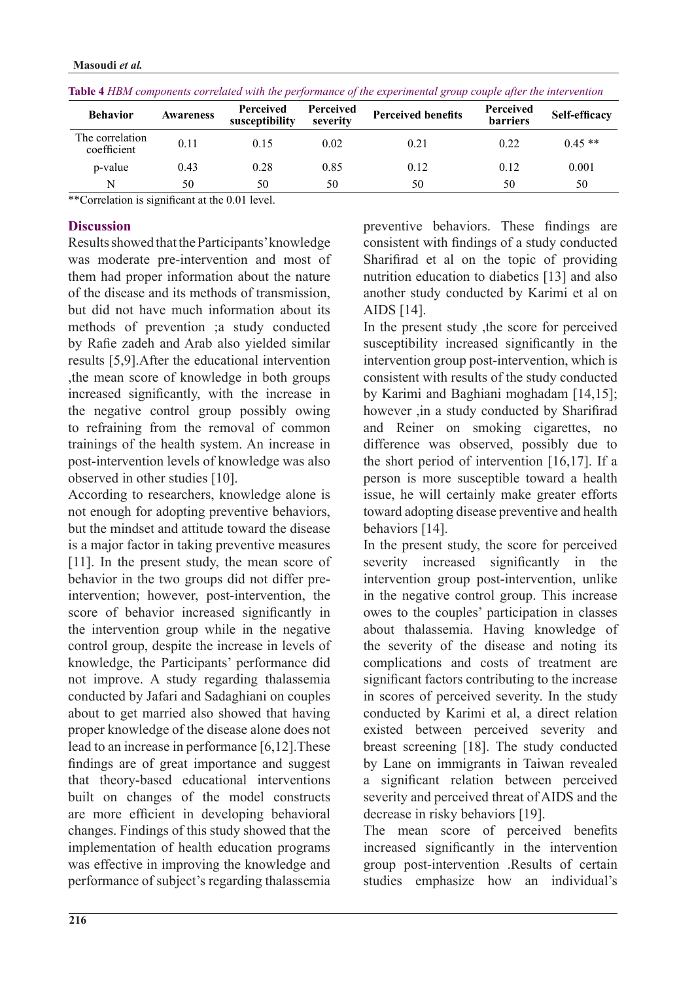| <b>Behavior</b>                | <b>Awareness</b> | Perceived<br>susceptibility | <b>Perceived</b><br>severity | <b>Perceived benefits</b> | Perceived<br><b>barriers</b> | Self-efficacy |
|--------------------------------|------------------|-----------------------------|------------------------------|---------------------------|------------------------------|---------------|
| The correlation<br>coefficient | 0.11             | 0.15                        | 0.02                         | 0.21                      | 0.22                         | $0.45**$      |
| p-value                        | 0.43             | 0.28                        | 0.85                         | 0.12                      | 0.12                         | 0.001         |
|                                | 50               | 50                          | 50                           | 50                        | 50                           | 50            |

|  |  |  | Table 4 HBM components correlated with the performance of the experimental group couple after the intervention |
|--|--|--|----------------------------------------------------------------------------------------------------------------|
|--|--|--|----------------------------------------------------------------------------------------------------------------|

\*\*Correlation is significant at the  $0.01$  level.

### **Discussion**

Results showed that the Participants' knowledge was moderate pre-intervention and most of them had proper information about the nature of the disease and its methods of transmission. but did not have much information about its methods of prevention *a* study conducted by Rafie zadeh and Arab also yielded similar results  $[5,9]$ . After the educational intervention the mean score of knowledge in both groups increased significantly, with the increase in the negative control group possibly owing to refraining from the removal of common trainings of the health system. An increase in post-intervention levels of knowledge was also observed in other studies  $[10]$ .

According to researchers, knowledge alone is not enough for adopting preventive behaviors, but the mindset and attitude toward the disease is a major factor in taking preventive measures [11]. In the present study, the mean score of intervention; however, post-intervention, the behavior in the two groups did not differ prescore of behavior increased significantly in the intervention group while in the negative control group, despite the increase in levels of knowledge, the Participants' performance did not improve. A study regarding thalassemia conducted by Jafari and Sadaghiani on couples about to get married also showed that having proper knowledge of the disease alone does not lead to an increase in performance  $[6,12]$ . These findings are of great importance and suggest that theory-based educational interventions built on changes of the model constructs are more efficient in developing behavioral changes. Findings of this study showed that the implementation of health education programs was effective in improving the knowledge and performance of subject's regarding thalassemia preventive behaviors. These findings are consistent with findings of a study conducted Sharifirad et al on the topic of providing nutrition education to diabetics [13] and also another study conducted by Karimi et al on AIDS [14].

In the present study, the score for perceived susceptibility increased significantly in the intervention group post-intervention, which is consistent with results of the study conducted by Karimi and Baghiani moghadam  $[14,15]$ ; however ,in a study conducted by Sharifirad and Reiner on smoking cigarettes, no difference was observed, possibly due to the short period of intervention  $[16,17]$ . If a person is more susceptible toward a health issue, he will certainly make greater efforts toward adopting disease preventive and health behaviors [14].

In the present study, the score for perceived severity increased significantly in the intervention group post-intervention, unlike in the negative control group. This increase owes to the couples' participation in classes about thalassemia. Having knowledge of the severity of the disease and noting its complications and costs of treatment are significant factors contributing to the increase in scores of perceived severity. In the study conducted by Karimi et al, a direct relation existed between perceived severity and breast screening [18]. The study conducted by Lane on immigrants in Taiwan revealed a significant relation between perceived severity and perceived threat of AIDS and the decrease in risky behaviors [19].

The mean score of perceived benefits increased significantly in the intervention group post-intervention. Results of certain studies emphasize how an individual's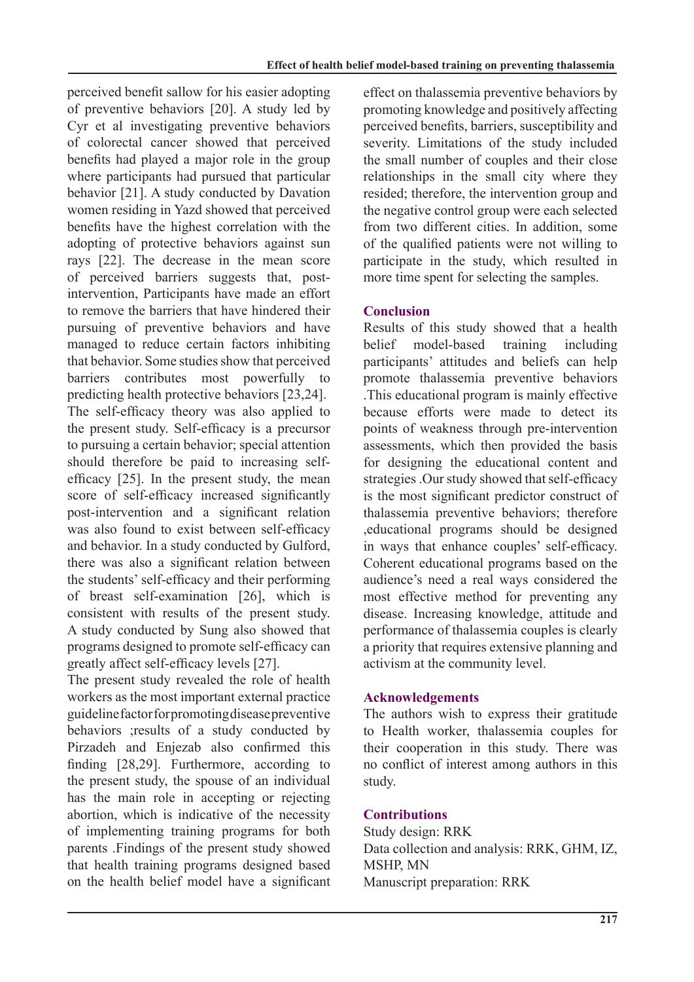perceived benefit sallow for his easier adopting of preventive behaviors  $[20]$ . A study led by Cyr et al investigating preventive behaviors of colorectal cancer showed that perceived benefits had played a major role in the group where participants had pursued that particular behavior [21]. A study conducted by Davation women residing in Yazd showed that perceived benefits have the highest correlation with the adopting of protective behaviors against sun rays [22]. The decrease in the mean score intervention, Participants have made an effort of perceived barriers suggests that, postto remove the barriers that have hindered their pursuing of preventive behaviors and have managed to reduce certain factors inhibiting that behavior. Some studies show that perceived barriers contributes most powerfully to predicting health protective behaviors  $[23,24]$ . The self-efficacy theory was also applied to the present study. Self-efficacy is a precursor to pursuing a certain behavior; special attention efficacy  $[25]$ . In the present study, the mean should therefore be paid to increasing selfscore of self-efficacy increased significantly post-intervention and a significant relation was also found to exist between self-efficacy and behavior. In a study conducted by Gulford. there was also a significant relation between the students' self-efficacy and their performing of breast self-examination  $[26]$ , which is consistent with results of the present study. A study conducted by Sung also showed that programs designed to promote self-efficacy can greatly affect self-efficacy levels [27].

The present study revealed the role of health workers as the most important external practice guideline factor for promoting disease preventive behaviors ; results of a study conducted by Pirzadeh and Enjezab also confirmed this finding  $[28,29]$ . Furthermore, according to the present study, the spouse of an individual has the main role in accepting or rejecting abortion, which is indicative of the necessity of implementing training programs for both parents .Findings of the present study showed that health training programs designed based on the health belief model have a significant effect on thalassemia preventive behaviors by promoting knowledge and positively affecting perceived benefits, barriers, susceptibility and severity. Limitations of the study included the small number of couples and their close relationships in the small city where they resided; therefore, the intervention group and the negative control group were each selected from two different cities. In addition, some of the qualified patients were not willing to participate in the study, which resulted in more time spent for selecting the samples.

# **Conclusion**

Results of this study showed that a health belief model-based training including participants' attitudes and beliefs can help promote thalassemia preventive behaviors This educational program is mainly effective. because efforts were made to detect its points of weakness through pre-intervention assessments, which then provided the basis for designing the educational content and strategies. Our study showed that self-efficacy is the most significant predictor construct of thalassemia preventive behaviors; therefore educational programs should be designed in ways that enhance couples' self-efficacy. Coherent educational programs based on the audience's need a real ways considered the most effective method for preventing any disease. Increasing knowledge, attitude and performance of thalassemia couples is clearly a priority that requires extensive planning and activism at the community level.

## **Acknowledgements**

The authors wish to express their gratitude to Health worker, thalassemia couples for their cooperation in this study. There was no conflict of interest among authors in this study.

# **Contributions**

Study design: RRK Data collection and analysis: RRK, GHM, IZ, MSHP, MN Manuscript preparation: RRK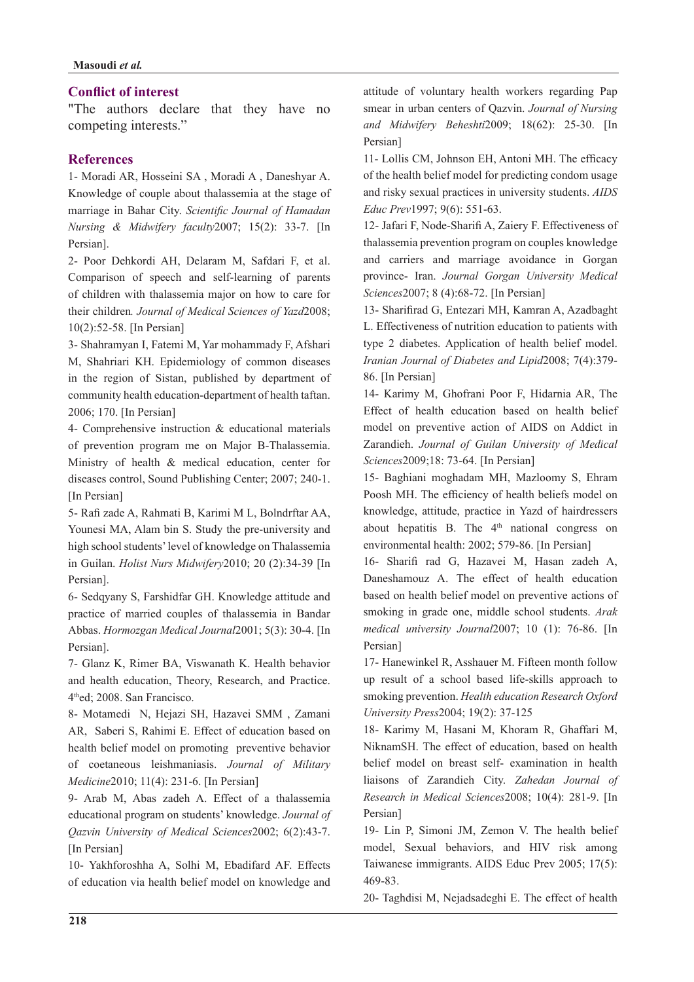### **Conflict of interest**

"The authors declare that they have no competing interests."

### **References**

1- Moradi AR, Hosseini SA, Moradi A, Daneshyar A. Knowledge of couple about thalassemia at the stage of marriage in Bahar City. Scientific Journal of Hamadan Nursing & Midwifery faculty 2007; 15(2): 33-7. [In Persian].

2- Poor Dehkordi AH, Delaram M, Safdari F, et al. Comparison of speech and self-learning of parents of children with thalassemia major on how to care for their children. Journal of Medical Sciences of Yazd2008; 10(2):52-58. [In Persian]

3- Shahramyan I, Fatemi M, Yar mohammady F, Afshari M, Shahriari KH. Epidemiology of common diseases in the region of Sistan, published by department of community health education-department of health taftan. 2006; 170. [In Persian]

4- Comprehensive instruction  $\&$  educational materials of prevention program me on Major B-Thalassemia. Ministry of health  $\&$  medical education, center for diseases control, Sound Publishing Center; 2007; 240-1. [In Persian]

5- Rafi zade A, Rahmati B, Karimi M L, Bolndrftar AA, Younesi MA, Alam bin S. Study the pre-university and high school students' level of knowledge on Thalassemia in Guilan. *Holist Nurs Midwifery* 2010; 20 (2): 34-39 [In Persian].

6- Sedqyany S, Farshidfar GH. Knowledge attitude and practice of married couples of thalassemia in Bandar Abbas. Hormozgan Medical Journal 2001; 5(3): 30-4. [In Persian<sub>1</sub>.

7- Glanz K, Rimer BA, Viswanath K. Health behavior and health education, Theory, Research, and Practice. 4thed; 2008. San Francisco.

8- Motamedi N, Hejazi SH, Hazavei SMM, Zamani AR, Saberi S, Rahimi E. Effect of education based on health belief model on promoting preventive behavior of coetaneous leishmaniasis. Journal of Military *Medicine*2010; 11(4): 231-6. [In Persian]

9- Arab M. Abas zadeh A. Effect of a thalassemia educational program on students' knowledge. *Journal of* Oazvin University of Medical Sciences 2002; 6(2):43-7. [In Persian]

10- Yakhforoshha A, Solhi M, Ebadifard AF. Effects of education via health belief model on knowledge and attitude of voluntary health workers regarding Pap smear in urban centers of Qazvin. Journal of Nursing and Midwifery Beheshti 2009; 18(62): 25-30. [In Persian]

11- Lollis CM, Johnson EH, Antoni MH. The efficacy of the health belief model for predicting condom usage and risky sexual practices in university students. AIDS Educ Prev1997; 9(6): 551-63.

12- Jafari F, Node-Sharifi A, Zaiery F. Effectiveness of thalassemia prevention program on couples knowledge and carriers and marriage avoidance in Gorgan province- Iran. Journal Gorgan University Medical Sciences2007; 8 (4):68-72. [In Persian]

13- Sharifirad G, Entezari MH, Kamran A, Azadbaght L. Effectiveness of nutrition education to patients with type 2 diabetes. Application of health belief model. Iranian Journal of Diabetes and Lipid 2008; 7(4): 379-86. [In Persian]

14- Karimy M, Ghofrani Poor F, Hidarnia AR, The Effect of health education based on health belief model on preventive action of AIDS on Addict in Zarandieh. Journal of Guilan University of Medical Sciences2009;18: 73-64. [In Persian]

15- Baghiani moghadam MH, Mazloomy S, Ehram Poosh MH. The efficiency of health beliefs model on knowledge, attitude, practice in Yazd of hairdressers about hepatitis B. The 4<sup>th</sup> national congress on environmental health: 2002; 579-86. [In Persian]

16- Sharifi rad G, Hazavei M, Hasan zadeh A, Daneshamouz A. The effect of health education based on health belief model on preventive actions of smoking in grade one, middle school students. Arak medical university Journal 2007; 10 (1): 76-86. [In Persian<sub>1</sub>

17- Hanewinkel R, Asshauer M. Fifteen month follow up result of a school based life-skills approach to smoking prevention. Health education Research Oxford University Press 2004; 19(2): 37-125

18- Karimy M, Hasani M, Khoram R, Ghaffari M, NiknamSH. The effect of education, based on health helief model on breast self- examination in health liaisons of Zarandieh City. Zahedan Journal of Research in Medical Sciences 2008; 10(4): 281-9. [In Persian]

19- Lin P, Simoni JM, Zemon V. The health belief model, Sexual behaviors, and HIV risk among Taiwanese immigrants. AIDS Educ Prev 2005; 17(5): 469-83.

20- Taghdisi M, Nejadsadeghi E. The effect of health